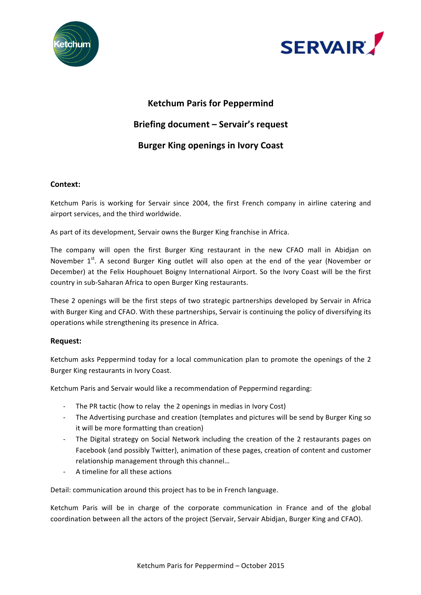



# **Ketchum Paris for Peppermind**

# **Briefing document - Servair's request**

# **Burger King openings in Ivory Coast**

# **Context:**

Ketchum Paris is working for Servair since 2004, the first French company in airline catering and airport services, and the third worldwide.

As part of its development, Servair owns the Burger King franchise in Africa.

The company will open the first Burger King restaurant in the new CFAO mall in Abidjan on November  $1^{st}$ . A second Burger King outlet will also open at the end of the year (November or December) at the Felix Houphouet Boigny International Airport. So the Ivory Coast will be the first country in sub-Saharan Africa to open Burger King restaurants.

These 2 openings will be the first steps of two strategic partnerships developed by Servair in Africa with Burger King and CFAO. With these partnerships, Servair is continuing the policy of diversifying its operations while strengthening its presence in Africa.

## **Request:**

Ketchum asks Peppermind today for a local communication plan to promote the openings of the 2 Burger King restaurants in Ivory Coast.

Ketchum Paris and Servair would like a recommendation of Peppermind regarding:

- The PR tactic (how to relay the 2 openings in medias in Ivory Cost)
- The Advertising purchase and creation (templates and pictures will be send by Burger King so it will be more formatting than creation)
- The Digital strategy on Social Network including the creation of the 2 restaurants pages on Facebook (and possibly Twitter), animation of these pages, creation of content and customer relationship management through this channel...
- A timeline for all these actions

Detail: communication around this project has to be in French language.

Ketchum Paris will be in charge of the corporate communication in France and of the global coordination between all the actors of the project (Servair, Servair Abidjan, Burger King and CFAO).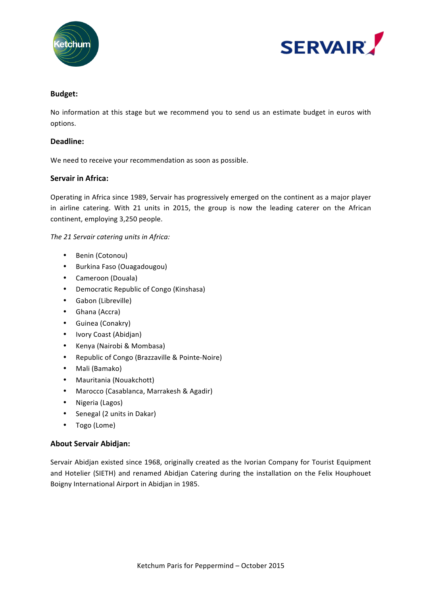



## **Budget:**

No information at this stage but we recommend you to send us an estimate budget in euros with options.

#### **Deadline:**

We need to receive your recommendation as soon as possible.

## **Servair in Africa:**

Operating in Africa since 1989, Servair has progressively emerged on the continent as a major player in airline catering. With 21 units in 2015, the group is now the leading caterer on the African continent, employing 3,250 people.

The 21 Servair catering units in Africa:

- Benin (Cotonou)
- Burkina Faso (Ouagadougou)
- Cameroon (Douala)
- Democratic Republic of Congo (Kinshasa)
- Gabon (Libreville)
- Ghana (Accra)
- Guinea (Conakry)
- Ivory Coast (Abidjan)
- Kenya (Nairobi & Mombasa)
- Republic of Congo (Brazzaville & Pointe-Noire)
- Mali (Bamako)
- Mauritania (Nouakchott)
- Marocco (Casablanca, Marrakesh & Agadir)
- Nigeria (Lagos)
- Senegal (2 units in Dakar)
- Togo (Lome)

#### **About Servair Abidjan:**

Servair Abidjan existed since 1968, originally created as the Ivorian Company for Tourist Equipment and Hotelier (SIETH) and renamed Abidjan Catering during the installation on the Felix Houphouet Boigny International Airport in Abidjan in 1985.